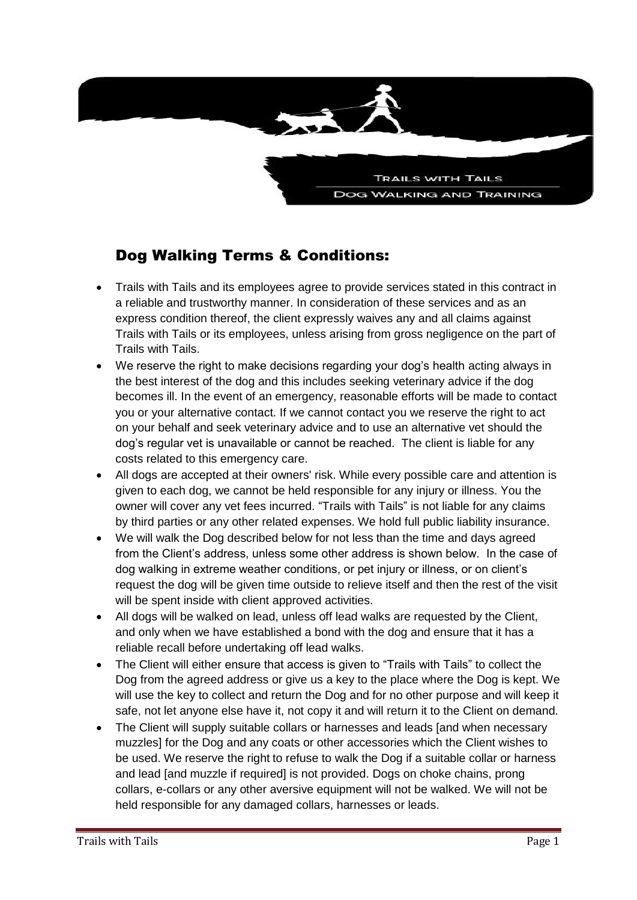

## Dog Walking Terms & Conditions:

- Trails with Tails and its employees agree to provide services stated in this contract in a reliable and trustworthy manner. In consideration of these services and as an express condition thereof, the client expressly waives any and all claims against Trails with Tails or its employees, unless arising from gross negligence on the part of Trails with Tails.
- We reserve the right to make decisions regarding your dog's health acting always in the best interest of the dog and this includes seeking veterinary advice if the dog becomes ill. In the event of an emergency, reasonable efforts will be made to contact you or your alternative contact. If we cannot contact you we reserve the right to act on your behalf and seek veterinary advice and to use an alternative vet should the dog's regular vet is unavailable or cannot be reached. The client is liable for any costs related to this emergency care.
- All dogs are accepted at their owners' risk. While every possible care and attention is given to each dog, we cannot be held responsible for any injury or illness. You the owner will cover any vet fees incurred. "Trails with Tails" is not liable for any claims by third parties or any other related expenses. We hold full public liability insurance.
- We will walk the Dog described below for not less than the time and days agreed from the Client's address, unless some other address is shown below. In the case of dog walking in extreme weather conditions, or pet injury or illness, or on client's request the dog will be given time outside to relieve itself and then the rest of the visit will be spent inside with client approved activities.
- All dogs will be walked on lead, unless off lead walks are requested by the Client, and only when we have established a bond with the dog and ensure that it has a reliable recall before undertaking off lead walks.
- The Client will either ensure that access is given to "Trails with Tails" to collect the Dog from the agreed address or give us a key to the place where the Dog is kept. We will use the key to collect and return the Dog and for no other purpose and will keep it safe, not let anyone else have it, not copy it and will return it to the Client on demand.
- The Client will supply suitable collars or harnesses and leads [and when necessary muzzles] for the Dog and any coats or other accessories which the Client wishes to be used. We reserve the right to refuse to walk the Dog if a suitable collar or harness and lead [and muzzle if required] is not provided. Dogs on choke chains, prong collars, e-collars or any other aversive equipment will not be walked. We will not be held responsible for any damaged collars, harnesses or leads.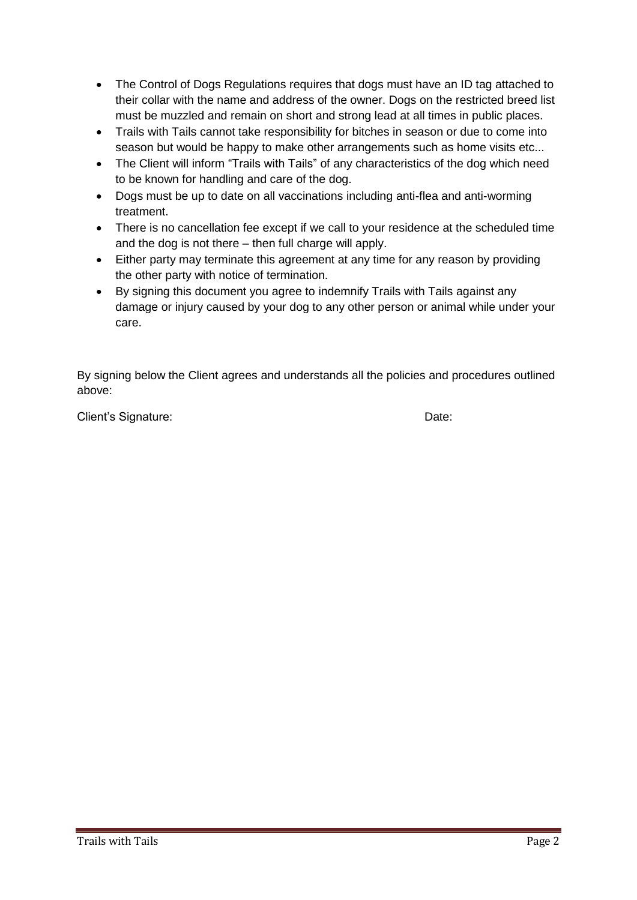- The Control of Dogs Regulations requires that dogs must have an ID tag attached to their collar with the name and address of the owner. Dogs on the restricted breed list must be muzzled and remain on short and strong lead at all times in public places.
- Trails with Tails cannot take responsibility for bitches in season or due to come into season but would be happy to make other arrangements such as home visits etc...
- The Client will inform "Trails with Tails" of any characteristics of the dog which need to be known for handling and care of the dog.
- Dogs must be up to date on all vaccinations including anti-flea and anti-worming treatment.
- There is no cancellation fee except if we call to your residence at the scheduled time and the dog is not there – then full charge will apply.
- Either party may terminate this agreement at any time for any reason by providing the other party with notice of termination.
- By signing this document you agree to indemnify Trails with Tails against any damage or injury caused by your dog to any other person or animal while under your care.

By signing below the Client agrees and understands all the policies and procedures outlined above:

Client's Signature: Date: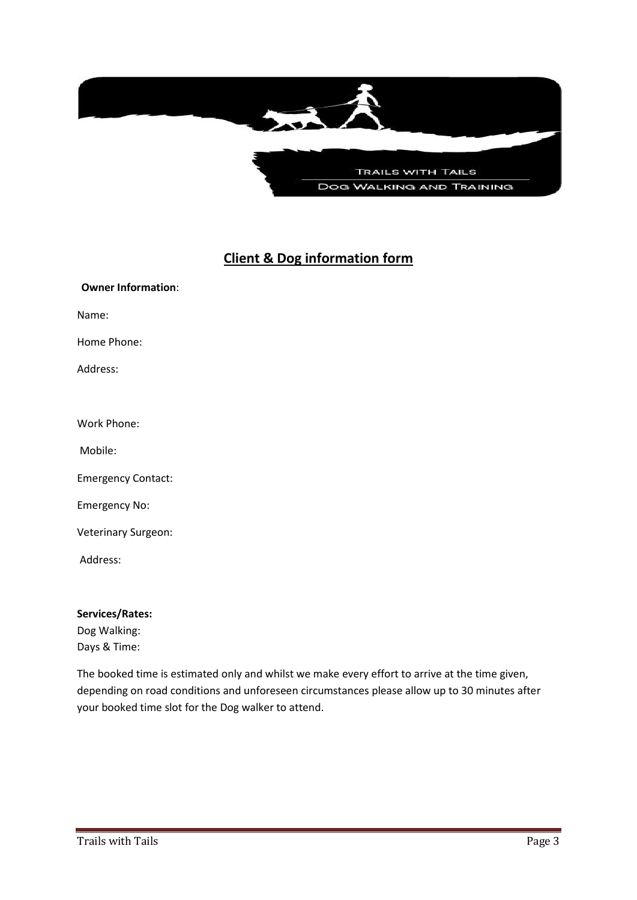

## **Client & Dog information form**

| <b>Owner Information:</b> |
|---------------------------|
| Name:                     |
| Home Phone:               |
| Address:                  |
|                           |
| Work Phone:               |
| Mobile:                   |
| <b>Emergency Contact:</b> |
| <b>Emergency No:</b>      |
| Veterinary Surgeon:       |
| Address:                  |
|                           |

**Services/Rates:** Dog Walking: Days & Time:

The booked time is estimated only and whilst we make every effort to arrive at the time given, depending on road conditions and unforeseen circumstances please allow up to 30 minutes after your booked time slot for the Dog walker to attend.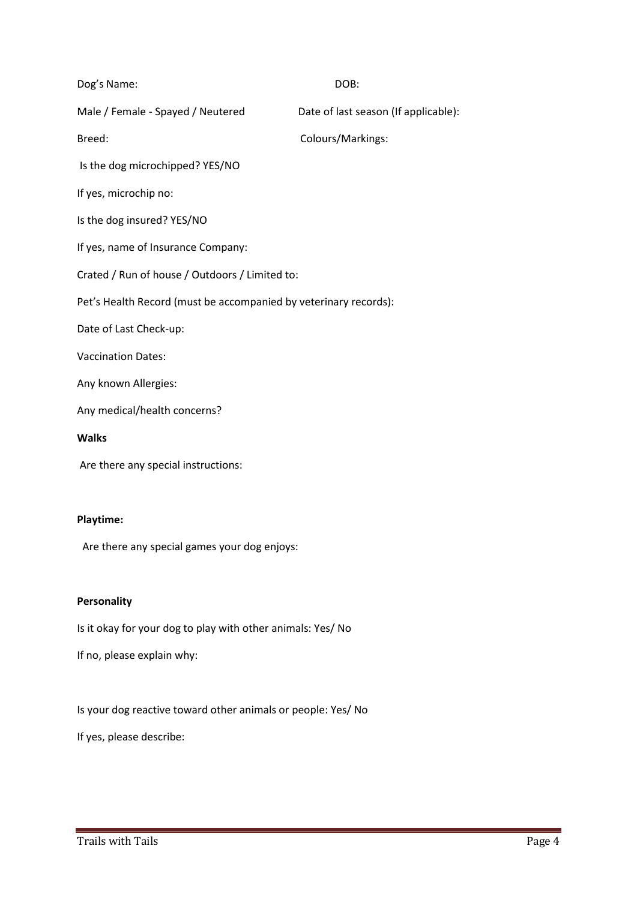| Dog's Name:                                                      | DOB:                                 |  |
|------------------------------------------------------------------|--------------------------------------|--|
| Male / Female - Spayed / Neutered                                | Date of last season (If applicable): |  |
| Breed:                                                           | Colours/Markings:                    |  |
| Is the dog microchipped? YES/NO                                  |                                      |  |
| If yes, microchip no:                                            |                                      |  |
| Is the dog insured? YES/NO                                       |                                      |  |
| If yes, name of Insurance Company:                               |                                      |  |
| Crated / Run of house / Outdoors / Limited to:                   |                                      |  |
| Pet's Health Record (must be accompanied by veterinary records): |                                      |  |
| Date of Last Check-up:                                           |                                      |  |
| <b>Vaccination Dates:</b>                                        |                                      |  |
| Any known Allergies:                                             |                                      |  |
| Any medical/health concerns?                                     |                                      |  |
| <b>Walks</b>                                                     |                                      |  |
| Are there any special instructions:                              |                                      |  |
|                                                                  |                                      |  |
|                                                                  |                                      |  |

## **Playtime:**

Are there any special games your dog enjoys:

## **Personality**

Is it okay for your dog to play with other animals: Yes/ No

If no, please explain why:

Is your dog reactive toward other animals or people: Yes/ No

If yes, please describe: